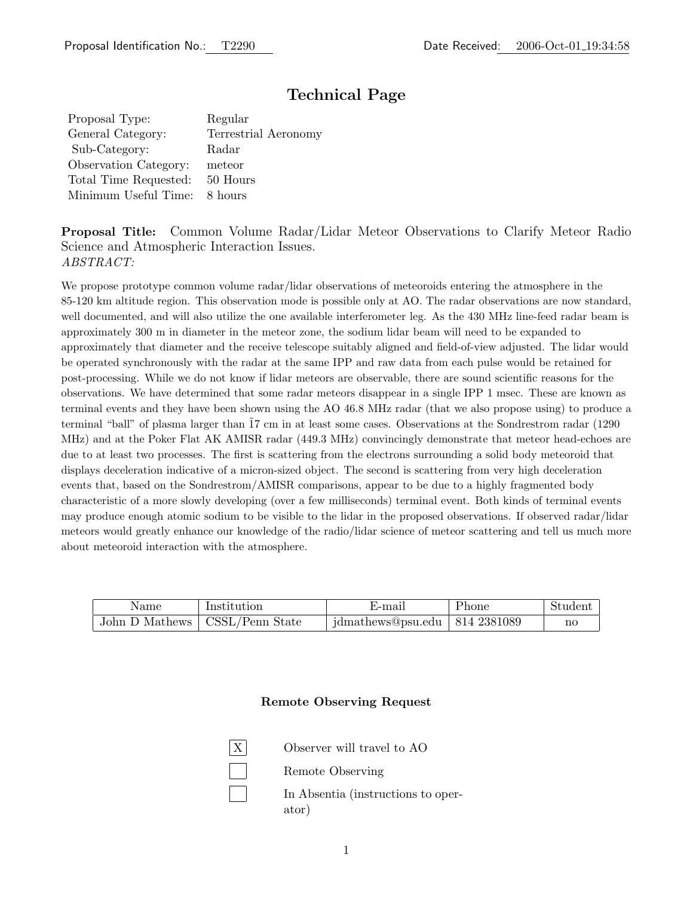# Technical Page

Proposal Type: Regular General Category: Terrestrial Aeronomy Sub-Category: Radar Observation Category: meteor Total Time Requested: 50 Hours Minimum Useful Time: 8 hours

Proposal Title: Common Volume Radar/Lidar Meteor Observations to Clarify Meteor Radio Science and Atmospheric Interaction Issues. ABSTRACT:

We propose prototype common volume radar/lidar observations of meteoroids entering the atmosphere in the 85-120 km altitude region. This observation mode is possible only at AO. The radar observations are now standard, well documented, and will also utilize the one available interferometer leg. As the 430 MHz line-feed radar beam is approximately 300 m in diameter in the meteor zone, the sodium lidar beam will need to be expanded to approximately that diameter and the receive telescope suitably aligned and field-of-view adjusted. The lidar would be operated synchronously with the radar at the same IPP and raw data from each pulse would be retained for post-processing. While we do not know if lidar meteors are observable, there are sound scientific reasons for the observations. We have determined that some radar meteors disappear in a single IPP 1 msec. These are known as terminal events and they have been shown using the AO 46.8 MHz radar (that we also propose using) to produce a terminal "ball" of plasma larger than  $\tilde{17}$  cm in at least some cases. Observations at the Sondrestrom radar (1290) MHz) and at the Poker Flat AK AMISR radar (449.3 MHz) convincingly demonstrate that meteor head-echoes are due to at least two processes. The first is scattering from the electrons surrounding a solid body meteoroid that displays deceleration indicative of a micron-sized object. The second is scattering from very high deceleration events that, based on the Sondrestrom/AMISR comparisons, appear to be due to a highly fragmented body characteristic of a more slowly developing (over a few milliseconds) terminal event. Both kinds of terminal events may produce enough atomic sodium to be visible to the lidar in the proposed observations. If observed radar/lidar meteors would greatly enhance our knowledge of the radio/lidar science of meteor scattering and tell us much more about meteoroid interaction with the atmosphere.

| Name           | Institution     | E-mail                             | Phone |    |
|----------------|-----------------|------------------------------------|-------|----|
| John D Mathews | CSSL/Penn State | jdmathews@psu.edu   $814\,2381089$ |       | nc |

#### Remote Observing Request